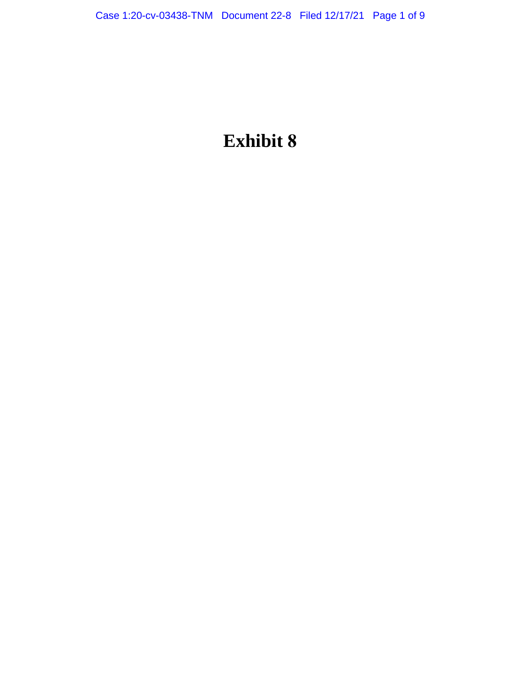# **Exhibit 8**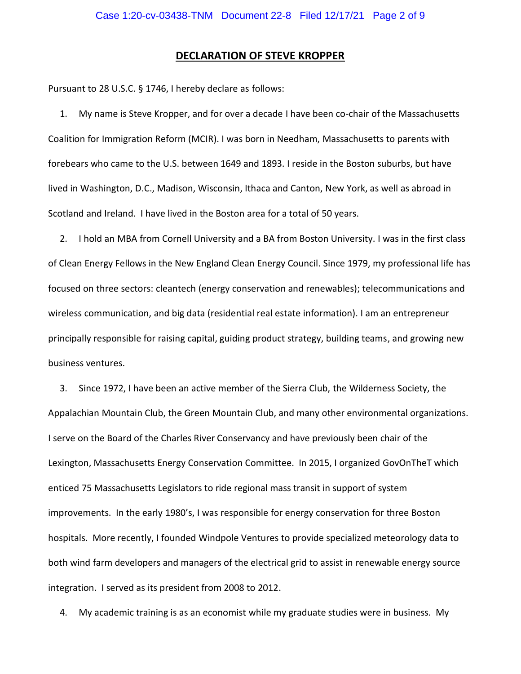## **DECLARATION OF STEVE KROPPER**

Pursuant to 28 U.S.C. § 1746, I hereby declare as follows:

1. My name is Steve Kropper, and for over a decade I have been co-chair of the Massachusetts Coalition for Immigration Reform (MCIR). I was born in Needham, Massachusetts to parents with forebears who came to the U.S. between 1649 and 1893. I reside in the Boston suburbs, but have lived in Washington, D.C., Madison, Wisconsin, Ithaca and Canton, New York, as well as abroad in Scotland and Ireland. I have lived in the Boston area for a total of 50 years.

2. I hold an MBA from Cornell University and a BA from Boston University. I was in the first class of Clean Energy Fellows in the New England Clean Energy Council. Since 1979, my professional life has focused on three sectors: cleantech (energy conservation and renewables); telecommunications and wireless communication, and big data (residential real estate information). I am an entrepreneur principally responsible for raising capital, guiding product strategy, building teams, and growing new business ventures.

3. Since 1972, I have been an active member of the Sierra Club, the Wilderness Society, the Appalachian Mountain Club, the Green Mountain Club, and many other environmental organizations. I serve on the Board of the Charles River Conservancy and have previously been chair of the Lexington, Massachusetts Energy Conservation Committee. In 2015, I organized GovOnTheT which enticed 75 Massachusetts Legislators to ride regional mass transit in support of system improvements. In the early 1980's, I was responsible for energy conservation for three Boston hospitals. More recently, I founded Windpole Ventures to provide specialized meteorology data to both wind farm developers and managers of the electrical grid to assist in renewable energy source integration. I served as its president from 2008 to 2012.

4. My academic training is as an economist while my graduate studies were in business. My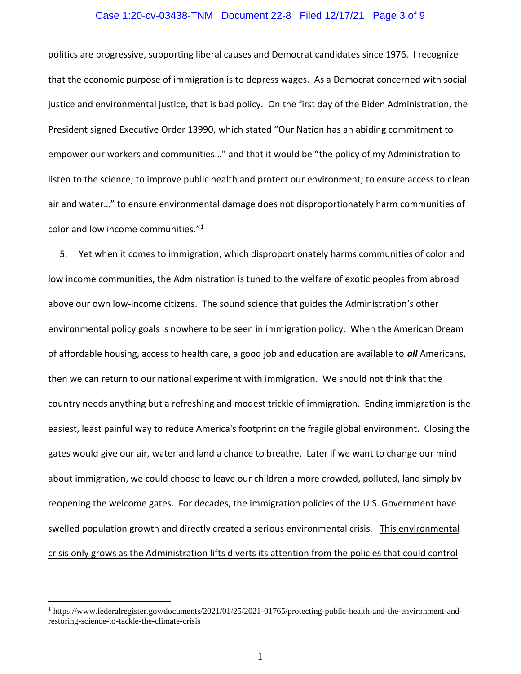#### Case 1:20-cv-03438-TNM Document 22-8 Filed 12/17/21 Page 3 of 9

politics are progressive, supporting liberal causes and Democrat candidates since 1976. I recognize that the economic purpose of immigration is to depress wages. As a Democrat concerned with social justice and environmental justice, that is bad policy. On the first day of the Biden Administration, the President signed Executive Order 13990, which stated "Our Nation has an abiding commitment to empower our workers and communities…" and that it would be "the policy of my Administration to listen to the science; to improve public health and protect our environment; to ensure access to clean air and water…" to ensure environmental damage does not disproportionately harm communities of color and low income communities."<sup>1</sup>

5. Yet when it comes to immigration, which disproportionately harms communities of color and low income communities, the Administration is tuned to the welfare of exotic peoples from abroad above our own low-income citizens. The sound science that guides the Administration's other environmental policy goals is nowhere to be seen in immigration policy. When the American Dream of affordable housing, access to health care, a good job and education are available to *all* Americans, then we can return to our national experiment with immigration. We should not think that the country needs anything but a refreshing and modest trickle of immigration. Ending immigration is the easiest, least painful way to reduce America's footprint on the fragile global environment. Closing the gates would give our air, water and land a chance to breathe. Later if we want to change our mind about immigration, we could choose to leave our children a more crowded, polluted, land simply by reopening the welcome gates. For decades, the immigration policies of the U.S. Government have swelled population growth and directly created a serious environmental crisis. This environmental crisis only grows as the Administration lifts diverts its attention from the policies that could control

<sup>1</sup> https://www.federalregister.gov/documents/2021/01/25/2021-01765/protecting-public-health-and-the-environment-andrestoring-science-to-tackle-the-climate-crisis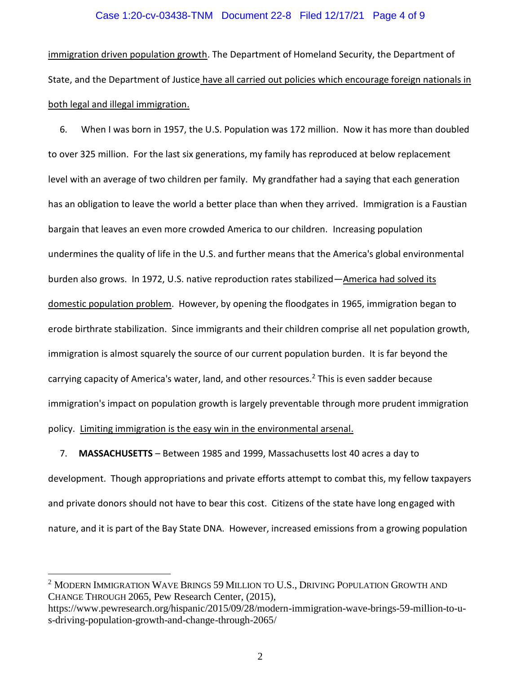### Case 1:20-cv-03438-TNM Document 22-8 Filed 12/17/21 Page 4 of 9

immigration driven population growth. The Department of Homeland Security, the Department of State, and the Department of Justice have all carried out policies which encourage foreign nationals in both legal and illegal immigration.

6. When I was born in 1957, the U.S. Population was 172 million. Now it has more than doubled to over 325 million. For the last six generations, my family has reproduced at below replacement level with an average of two children per family. My grandfather had a saying that each generation has an obligation to leave the world a better place than when they arrived. Immigration is a Faustian bargain that leaves an even more crowded America to our children. Increasing population undermines the quality of life in the U.S. and further means that the America's global environmental burden also grows. In 1972, U.S. native reproduction rates stabilized—America had solved its domestic population problem. However, by opening the floodgates in 1965, immigration began to erode birthrate stabilization. Since immigrants and their children comprise all net population growth, immigration is almost squarely the source of our current population burden. It is far beyond the carrying capacity of America's water, land, and other resources.<sup>2</sup> This is even sadder because immigration's impact on population growth is largely preventable through more prudent immigration policy. Limiting immigration is the easy win in the environmental arsenal.

7. **MASSACHUSETTS** – Between 1985 and 1999, Massachusetts lost 40 acres a day to development. Though appropriations and private efforts attempt to combat this, my fellow taxpayers and private donors should not have to bear this cost. Citizens of the state have long engaged with nature, and it is part of the Bay State DNA. However, increased emissions from a growing population

 $2$  MODERN IMMIGRATION WAVE BRINGS 59 MILLION TO U.S., DRIVING POPULATION GROWTH AND CHANGE THROUGH 2065, Pew Research Center, (2015),

https://www.pewresearch.org/hispanic/2015/09/28/modern-immigration-wave-brings-59-million-to-us-driving-population-growth-and-change-through-2065/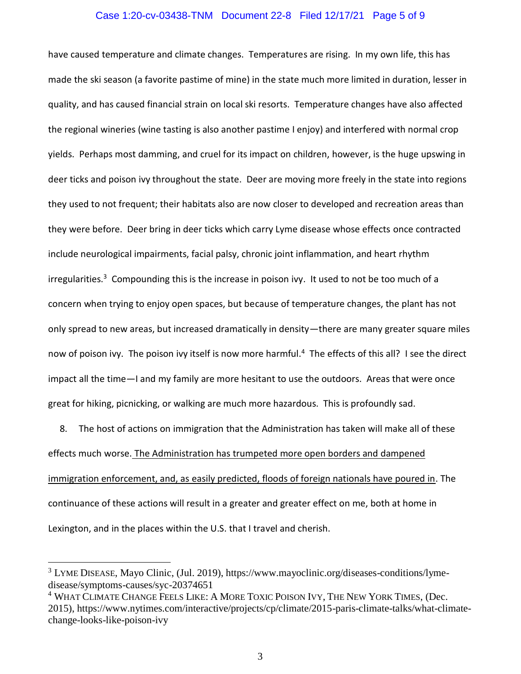#### Case 1:20-cv-03438-TNM Document 22-8 Filed 12/17/21 Page 5 of 9

have caused temperature and climate changes. Temperatures are rising. In my own life, this has made the ski season (a favorite pastime of mine) in the state much more limited in duration, lesser in quality, and has caused financial strain on local ski resorts. Temperature changes have also affected the regional wineries (wine tasting is also another pastime I enjoy) and interfered with normal crop yields. Perhaps most damming, and cruel for its impact on children, however, is the huge upswing in deer ticks and poison ivy throughout the state. Deer are moving more freely in the state into regions they used to not frequent; their habitats also are now closer to developed and recreation areas than they were before. Deer bring in deer ticks which carry Lyme disease whose effects once contracted include neurological impairments, facial palsy, chronic joint inflammation, and heart rhythm irregularities.<sup>3</sup> Compounding this is the increase in poison ivy. It used to not be too much of a concern when trying to enjoy open spaces, but because of temperature changes, the plant has not only spread to new areas, but increased dramatically in density—there are many greater square miles now of poison ivy. The poison ivy itself is now more harmful.<sup>4</sup> The effects of this all? I see the direct impact all the time—I and my family are more hesitant to use the outdoors. Areas that were once great for hiking, picnicking, or walking are much more hazardous. This is profoundly sad.

8. The host of actions on immigration that the Administration has taken will make all of these effects much worse. The Administration has trumpeted more open borders and dampened immigration enforcement, and, as easily predicted, floods of foreign nationals have poured in. The continuance of these actions will result in a greater and greater effect on me, both at home in Lexington, and in the places within the U.S. that I travel and cherish.

<sup>&</sup>lt;sup>3</sup> LYME DISEASE, Mayo Clinic, (Jul. 2019), https://www.mayoclinic.org/diseases-conditions/lymedisease/symptoms-causes/syc-20374651

<sup>&</sup>lt;sup>4</sup> WHAT CLIMATE CHANGE FEELS LIKE: A MORE TOXIC POISON IVY, THE NEW YORK TIMES, (Dec. 2015), https://www.nytimes.com/interactive/projects/cp/climate/2015-paris-climate-talks/what-climatechange-looks-like-poison-ivy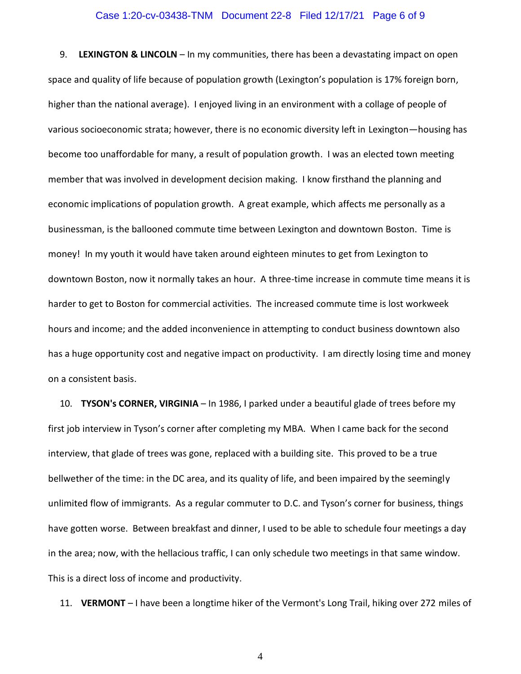#### Case 1:20-cv-03438-TNM Document 22-8 Filed 12/17/21 Page 6 of 9

9. **LEXINGTON & LINCOLN** – In my communities, there has been a devastating impact on open space and quality of life because of population growth (Lexington's population is 17% foreign born, higher than the national average). I enjoyed living in an environment with a collage of people of various socioeconomic strata; however, there is no economic diversity left in Lexington—housing has become too unaffordable for many, a result of population growth. I was an elected town meeting member that was involved in development decision making. I know firsthand the planning and economic implications of population growth. A great example, which affects me personally as a businessman, is the ballooned commute time between Lexington and downtown Boston. Time is money! In my youth it would have taken around eighteen minutes to get from Lexington to downtown Boston, now it normally takes an hour. A three-time increase in commute time means it is harder to get to Boston for commercial activities. The increased commute time is lost workweek hours and income; and the added inconvenience in attempting to conduct business downtown also has a huge opportunity cost and negative impact on productivity. I am directly losing time and money on a consistent basis.

10. **TYSON's CORNER, VIRGINIA** – In 1986, I parked under a beautiful glade of trees before my first job interview in Tyson's corner after completing my MBA. When I came back for the second interview, that glade of trees was gone, replaced with a building site. This proved to be a true bellwether of the time: in the DC area, and its quality of life, and been impaired by the seemingly unlimited flow of immigrants. As a regular commuter to D.C. and Tyson's corner for business, things have gotten worse. Between breakfast and dinner, I used to be able to schedule four meetings a day in the area; now, with the hellacious traffic, I can only schedule two meetings in that same window. This is a direct loss of income and productivity.

11. **VERMONT** – I have been a longtime hiker of the Vermont's Long Trail, hiking over 272 miles of

4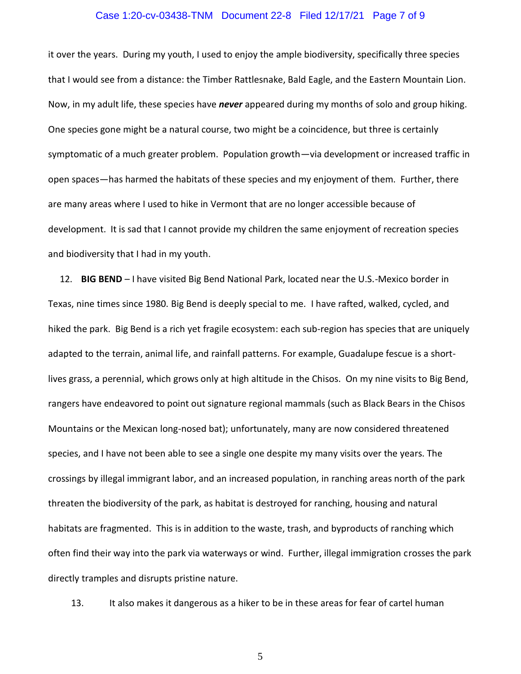#### Case 1:20-cv-03438-TNM Document 22-8 Filed 12/17/21 Page 7 of 9

it over the years. During my youth, I used to enjoy the ample biodiversity, specifically three species that I would see from a distance: the Timber Rattlesnake, Bald Eagle, and the Eastern Mountain Lion. Now, in my adult life, these species have *never* appeared during my months of solo and group hiking. One species gone might be a natural course, two might be a coincidence, but three is certainly symptomatic of a much greater problem. Population growth—via development or increased traffic in open spaces—has harmed the habitats of these species and my enjoyment of them. Further, there are many areas where I used to hike in Vermont that are no longer accessible because of development. It is sad that I cannot provide my children the same enjoyment of recreation species and biodiversity that I had in my youth.

12. **BIG BEND** – I have visited Big Bend National Park, located near the U.S.-Mexico border in Texas, nine times since 1980. Big Bend is deeply special to me. I have rafted, walked, cycled, and hiked the park. Big Bend is a rich yet fragile ecosystem: each sub-region has species that are uniquely adapted to the terrain, animal life, and rainfall patterns. For example, Guadalupe fescue is a shortlives grass, a perennial, which grows only at high altitude in the Chisos. On my nine visits to Big Bend, rangers have endeavored to point out signature regional mammals (such as Black Bears in the Chisos Mountains or the Mexican long-nosed bat); unfortunately, many are now considered threatened species, and I have not been able to see a single one despite my many visits over the years. The crossings by illegal immigrant labor, and an increased population, in ranching areas north of the park threaten the biodiversity of the park, as habitat is destroyed for ranching, housing and natural habitats are fragmented. This is in addition to the waste, trash, and byproducts of ranching which often find their way into the park via waterways or wind. Further, illegal immigration crosses the park directly tramples and disrupts pristine nature.

13. It also makes it dangerous as a hiker to be in these areas for fear of cartel human

5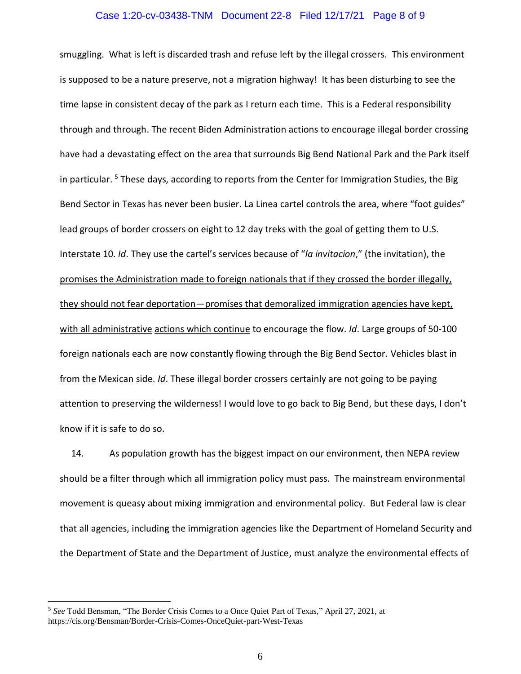#### Case 1:20-cv-03438-TNM Document 22-8 Filed 12/17/21 Page 8 of 9

smuggling. What is left is discarded trash and refuse left by the illegal crossers. This environment is supposed to be a nature preserve, not a migration highway! It has been disturbing to see the time lapse in consistent decay of the park as I return each time. This is a Federal responsibility through and through. The recent Biden Administration actions to encourage illegal border crossing have had a devastating effect on the area that surrounds Big Bend National Park and the Park itself in particular.<sup>5</sup> These days, according to reports from the Center for Immigration Studies, the Big Bend Sector in Texas has never been busier. La Linea cartel controls the area, where "foot guides" lead groups of border crossers on eight to 12 day treks with the goal of getting them to U.S. Interstate 10. *Id*. They use the cartel's services because of "*la invitacion*," (the invitation), the promises the Administration made to foreign nationals that if they crossed the border illegally, they should not fear deportation—promises that demoralized immigration agencies have kept, with all administrative actions which continue to encourage the flow. *Id*. Large groups of 50-100 foreign nationals each are now constantly flowing through the Big Bend Sector. Vehicles blast in from the Mexican side. *Id*. These illegal border crossers certainly are not going to be paying attention to preserving the wilderness! I would love to go back to Big Bend, but these days, I don't know if it is safe to do so.

14. As population growth has the biggest impact on our environment, then NEPA review should be a filter through which all immigration policy must pass. The mainstream environmental movement is queasy about mixing immigration and environmental policy. But Federal law is clear that all agencies, including the immigration agencies like the Department of Homeland Security and the Department of State and the Department of Justice, must analyze the environmental effects of

<sup>5</sup> *See* Todd Bensman, "The Border Crisis Comes to a Once Quiet Part of Texas," April 27, 2021, at https://cis.org/Bensman/Border-Crisis-Comes-OnceQuiet-part-West-Texas